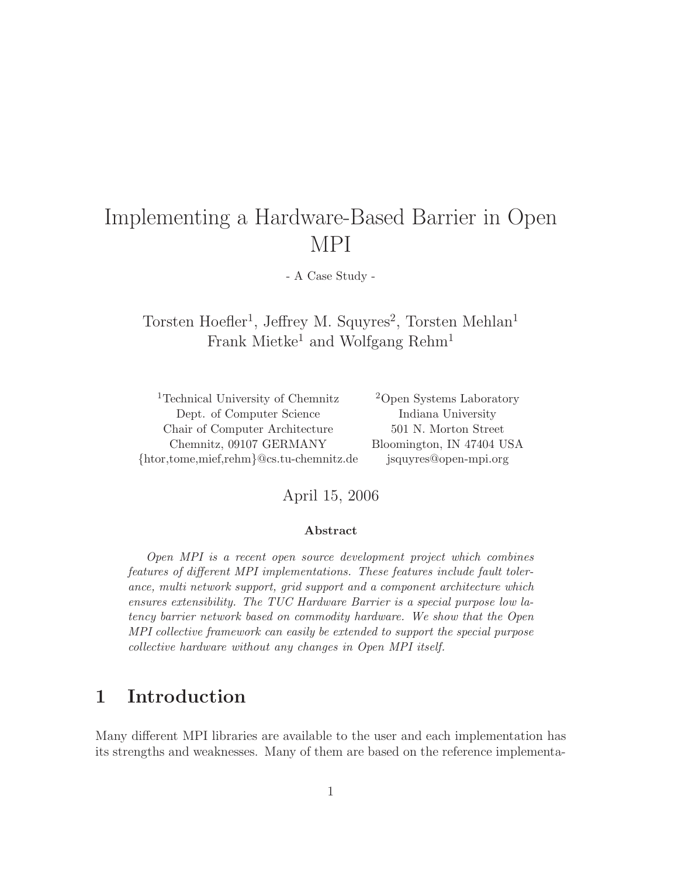# Implementing a Hardware-Based Barrier in Open MPI

- A Case Study -

Torsten Hoefler<sup>1</sup>, Jeffrey M. Squyres<sup>2</sup>, Torsten Mehlan<sup>1</sup> Frank Mietke<sup>1</sup> and Wolfgang Rehm<sup>1</sup>

<sup>1</sup>Technical University of Chemnitz <sup>2</sup>Open Systems Laboratory Dept. of Computer Science Indiana University Chair of Computer Architecture 501 N. Morton Street Chemnitz, 09107 GERMANY Bloomington, IN 47404 USA {htor,tome,mief,rehm}@cs.tu-chemnitz.de jsquyres@open-mpi.org

#### April 15, 2006

#### Abstract

Open MPI is a recent open source development project which combines features of different MPI implementations. These features include fault tolerance, multi network support, grid support and a component architecture which ensures extensibility. The TUC Hardware Barrier is a special purpose low latency barrier network based on commodity hardware. We show that the Open MPI collective framework can easily be extended to support the special purpose collective hardware without any changes in Open MPI itself.

## 1 Introduction

Many different MPI libraries are available to the user and each implementation has its strengths and weaknesses. Many of them are based on the reference implementa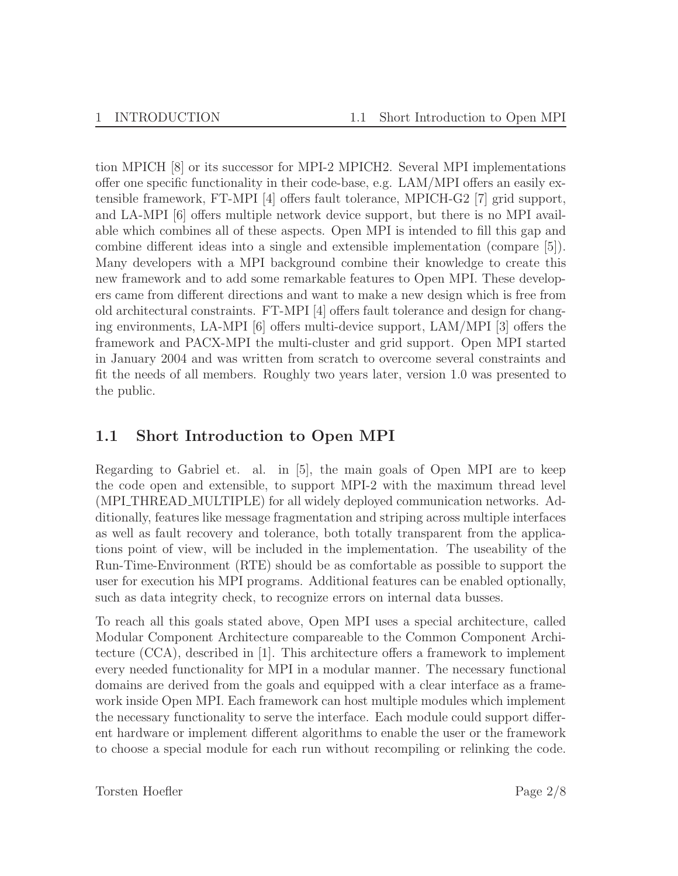tion MPICH [8] or its successor for MPI-2 MPICH2. Several MPI implementations offer one specific functionality in their code-base, e.g. LAM/MPI offers an easily extensible framework, FT-MPI [4] offers fault tolerance, MPICH-G2 [7] grid support, and LA-MPI [6] offers multiple network device support, but there is no MPI available which combines all of these aspects. Open MPI is intended to fill this gap and combine different ideas into a single and extensible implementation (compare [5]). Many developers with a MPI background combine their knowledge to create this new framework and to add some remarkable features to Open MPI. These developers came from different directions and want to make a new design which is free from old architectural constraints. FT-MPI [4] offers fault tolerance and design for changing environments, LA-MPI [6] offers multi-device support, LAM/MPI [3] offers the framework and PACX-MPI the multi-cluster and grid support. Open MPI started in January 2004 and was written from scratch to overcome several constraints and fit the needs of all members. Roughly two years later, version 1.0 was presented to the public.

### 1.1 Short Introduction to Open MPI

Regarding to Gabriel et. al. in [5], the main goals of Open MPI are to keep the code open and extensible, to support MPI-2 with the maximum thread level (MPI\_THREAD\_MULTIPLE) for all widely deployed communication networks. Additionally, features like message fragmentation and striping across multiple interfaces as well as fault recovery and tolerance, both totally transparent from the applications point of view, will be included in the implementation. The useability of the Run-Time-Environment (RTE) should be as comfortable as possible to support the user for execution his MPI programs. Additional features can be enabled optionally, such as data integrity check, to recognize errors on internal data busses.

To reach all this goals stated above, Open MPI uses a special architecture, called Modular Component Architecture compareable to the Common Component Architecture (CCA), described in [1]. This architecture offers a framework to implement every needed functionality for MPI in a modular manner. The necessary functional domains are derived from the goals and equipped with a clear interface as a framework inside Open MPI. Each framework can host multiple modules which implement the necessary functionality to serve the interface. Each module could support different hardware or implement different algorithms to enable the user or the framework to choose a special module for each run without recompiling or relinking the code.

Torsten Hoefler Page 2/8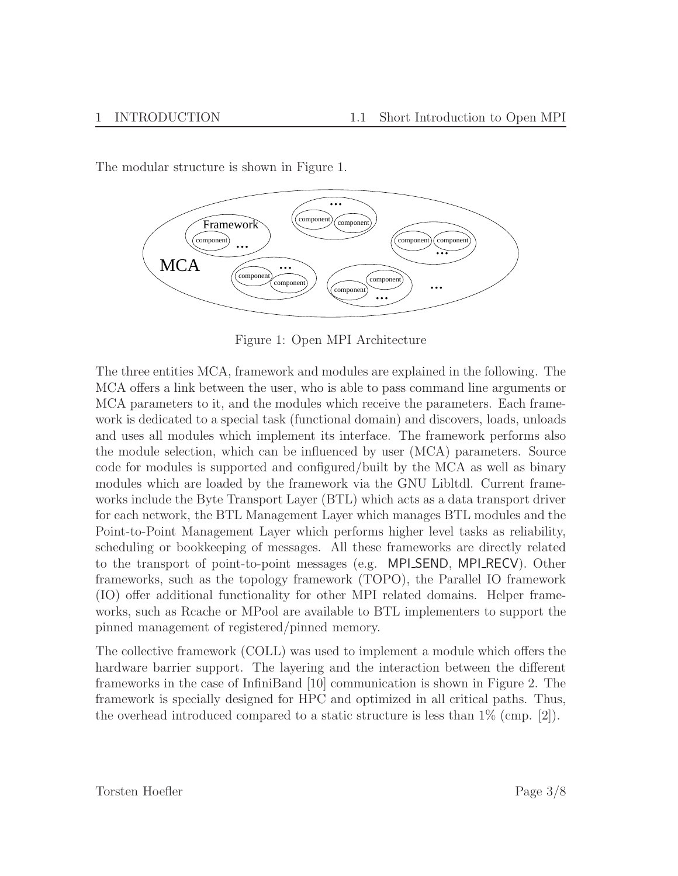**Framework** component component omponent component ...  $\text{component}$   $\text{component}$ compone component componen ... ... ... ... ... **MCA** 

The modular structure is shown in Figure 1.

Figure 1: Open MPI Architecture

The three entities MCA, framework and modules are explained in the following. The MCA offers a link between the user, who is able to pass command line arguments or MCA parameters to it, and the modules which receive the parameters. Each framework is dedicated to a special task (functional domain) and discovers, loads, unloads and uses all modules which implement its interface. The framework performs also the module selection, which can be influenced by user (MCA) parameters. Source code for modules is supported and configured/built by the MCA as well as binary modules which are loaded by the framework via the GNU Libltdl. Current frameworks include the Byte Transport Layer (BTL) which acts as a data transport driver for each network, the BTL Management Layer which manages BTL modules and the Point-to-Point Management Layer which performs higher level tasks as reliability, scheduling or bookkeeping of messages. All these frameworks are directly related to the transport of point-to-point messages (e.g. MPI SEND, MPI RECV). Other frameworks, such as the topology framework (TOPO), the Parallel IO framework (IO) offer additional functionality for other MPI related domains. Helper frameworks, such as Rcache or MPool are available to BTL implementers to support the pinned management of registered/pinned memory.

The collective framework (COLL) was used to implement a module which offers the hardware barrier support. The layering and the interaction between the different frameworks in the case of InfiniBand [10] communication is shown in Figure 2. The framework is specially designed for HPC and optimized in all critical paths. Thus, the overhead introduced compared to a static structure is less than  $1\%$  (cmp. [2]).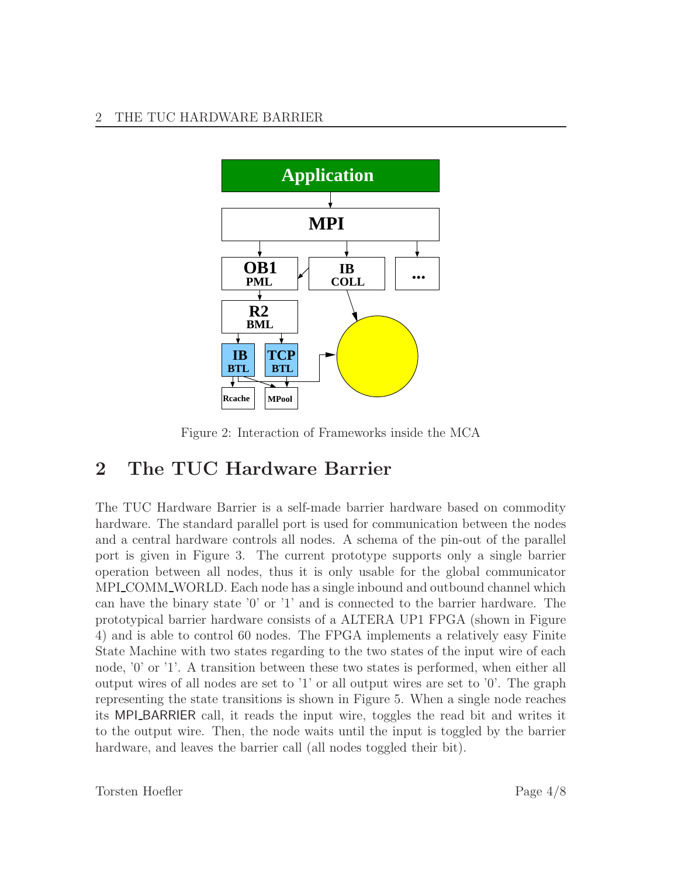#### 2 THE TUC HARDWARE BARRIER



Figure 2: Interaction of Frameworks inside the MCA

# 2 The TUC Hardware Barrier

The TUC Hardware Barrier is a self-made barrier hardware based on commodity hardware. The standard parallel port is used for communication between the nodes and a central hardware controls all nodes. A schema of the pin-out of the parallel port is given in Figure 3. The current prototype supports only a single barrier operation between all nodes, thus it is only usable for the global communicator MPI\_COMM\_WORLD. Each node has a single inbound and outbound channel which can have the binary state '0' or '1' and is connected to the barrier hardware. The prototypical barrier hardware consists of a ALTERA UP1 FPGA (shown in Figure 4) and is able to control 60 nodes. The FPGA implements a relatively easy Finite State Machine with two states regarding to the two states of the input wire of each node, '0' or '1'. A transition between these two states is performed, when either all output wires of all nodes are set to '1' or all output wires are set to '0'. The graph representing the state transitions is shown in Figure 5. When a single node reaches its MPI\_BARRIER call, it reads the input wire, toggles the read bit and writes it to the output wire. Then, the node waits until the input is toggled by the barrier hardware, and leaves the barrier call (all nodes toggled their bit).

Torsten Hoefler Page 4/8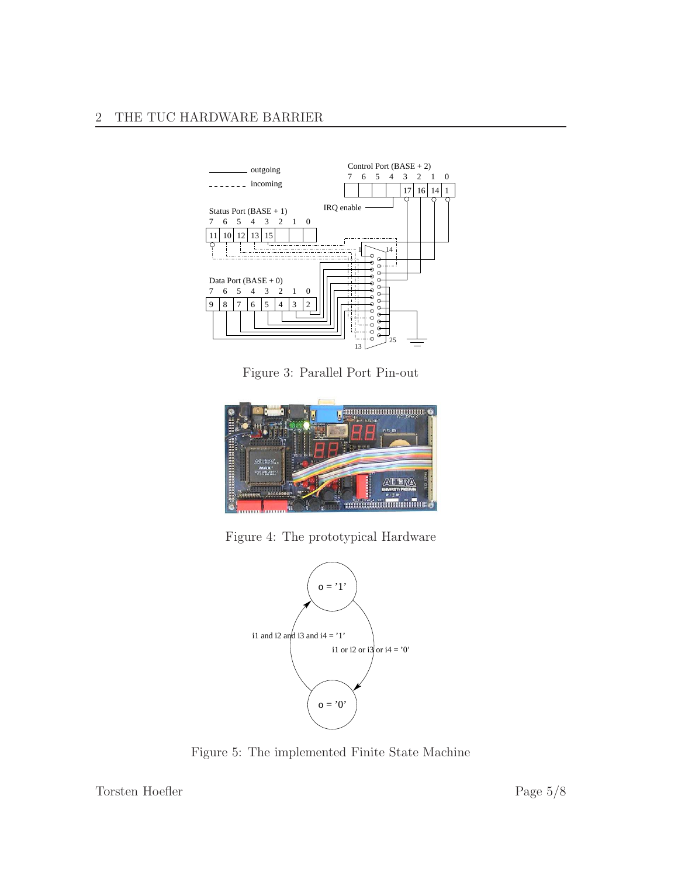

Figure 3: Parallel Port Pin-out



Figure 4: The prototypical Hardware



Figure 5: The implemented Finite State Machine

Torsten Hoefler Page 5/8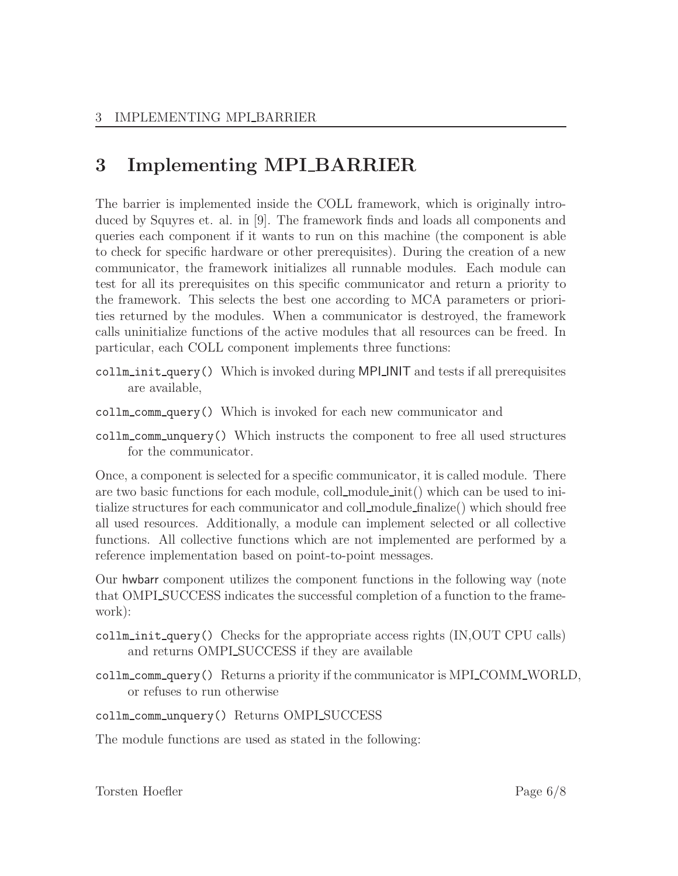# 3 Implementing MPI BARRIER

The barrier is implemented inside the COLL framework, which is originally introduced by Squyres et. al. in [9]. The framework finds and loads all components and queries each component if it wants to run on this machine (the component is able to check for specific hardware or other prerequisites). During the creation of a new communicator, the framework initializes all runnable modules. Each module can test for all its prerequisites on this specific communicator and return a priority to the framework. This selects the best one according to MCA parameters or priorities returned by the modules. When a communicator is destroyed, the framework calls uninitialize functions of the active modules that all resources can be freed. In particular, each COLL component implements three functions:

- $\text{collm}_\text{init\_query}()$  Which is invoked during MPI INIT and tests if all prerequisites are available,
- collm comm query() Which is invoked for each new communicator and
- collm comm unquery() Which instructs the component to free all used structures for the communicator.

Once, a component is selected for a specific communicator, it is called module. There are two basic functions for each module, coll module init() which can be used to initialize structures for each communicator and coll module finalize() which should free all used resources. Additionally, a module can implement selected or all collective functions. All collective functions which are not implemented are performed by a reference implementation based on point-to-point messages.

Our hwbarr component utilizes the component functions in the following way (note that OMPLSUCCESS indicates the successful completion of a function to the framework):

- collm init query() Checks for the appropriate access rights (IN,OUT CPU calls) and returns OMPL SUCCESS if they are available
- collm\_comm\_query() Returns a priority if the communicator is MPI\_COMM\_WORLD, or refuses to run otherwise

collm\_comm\_unquery() Returns OMPI\_SUCCESS

The module functions are used as stated in the following:

Torsten Hoefler Page 6/8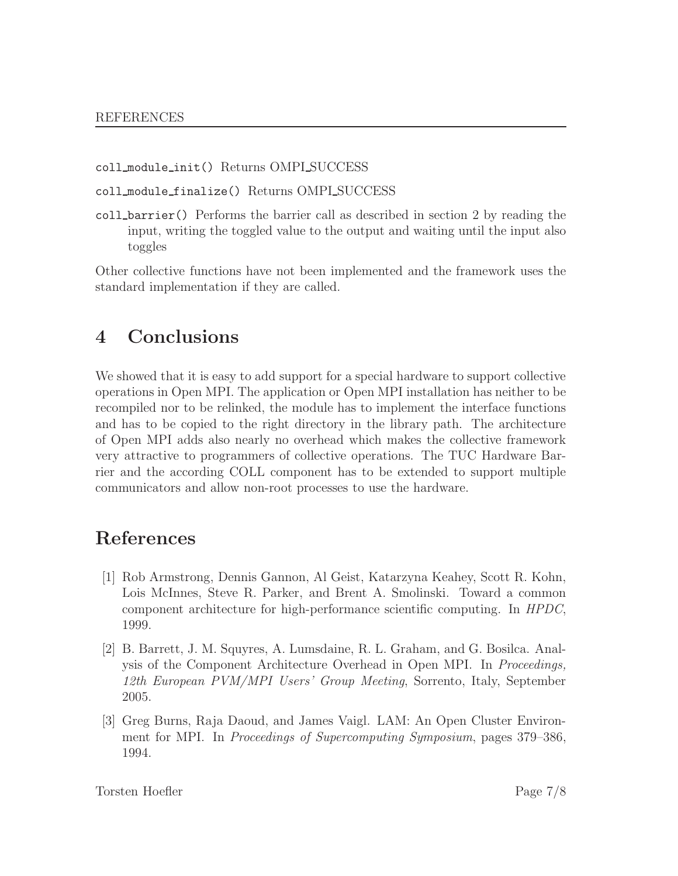coll module init() Returns OMPI SUCCESS

coll\_module\_finalize() Returns OMPLSUCCESS

coll barrier() Performs the barrier call as described in section 2 by reading the input, writing the toggled value to the output and waiting until the input also toggles

Other collective functions have not been implemented and the framework uses the standard implementation if they are called.

## 4 Conclusions

We showed that it is easy to add support for a special hardware to support collective operations in Open MPI. The application or Open MPI installation has neither to be recompiled nor to be relinked, the module has to implement the interface functions and has to be copied to the right directory in the library path. The architecture of Open MPI adds also nearly no overhead which makes the collective framework very attractive to programmers of collective operations. The TUC Hardware Barrier and the according COLL component has to be extended to support multiple communicators and allow non-root processes to use the hardware.

## References

- [1] Rob Armstrong, Dennis Gannon, Al Geist, Katarzyna Keahey, Scott R. Kohn, Lois McInnes, Steve R. Parker, and Brent A. Smolinski. Toward a common component architecture for high-performance scientific computing. In HPDC, 1999.
- [2] B. Barrett, J. M. Squyres, A. Lumsdaine, R. L. Graham, and G. Bosilca. Analysis of the Component Architecture Overhead in Open MPI. In Proceedings, 12th European PVM/MPI Users' Group Meeting, Sorrento, Italy, September 2005.
- [3] Greg Burns, Raja Daoud, and James Vaigl. LAM: An Open Cluster Environment for MPI. In *Proceedings of Supercomputing Symposium*, pages 379–386, 1994.

Torsten Hoefler Page 7/8